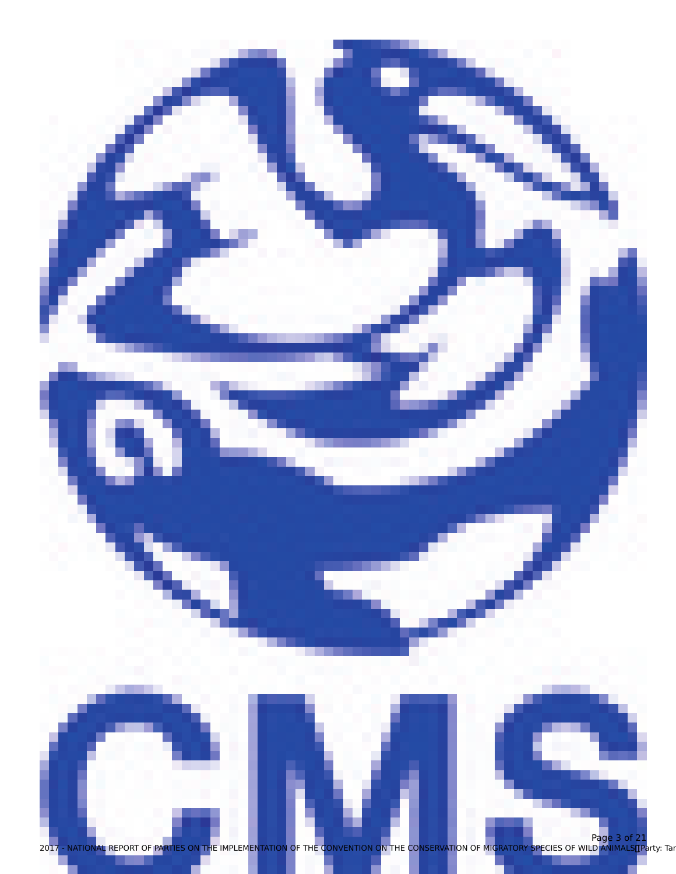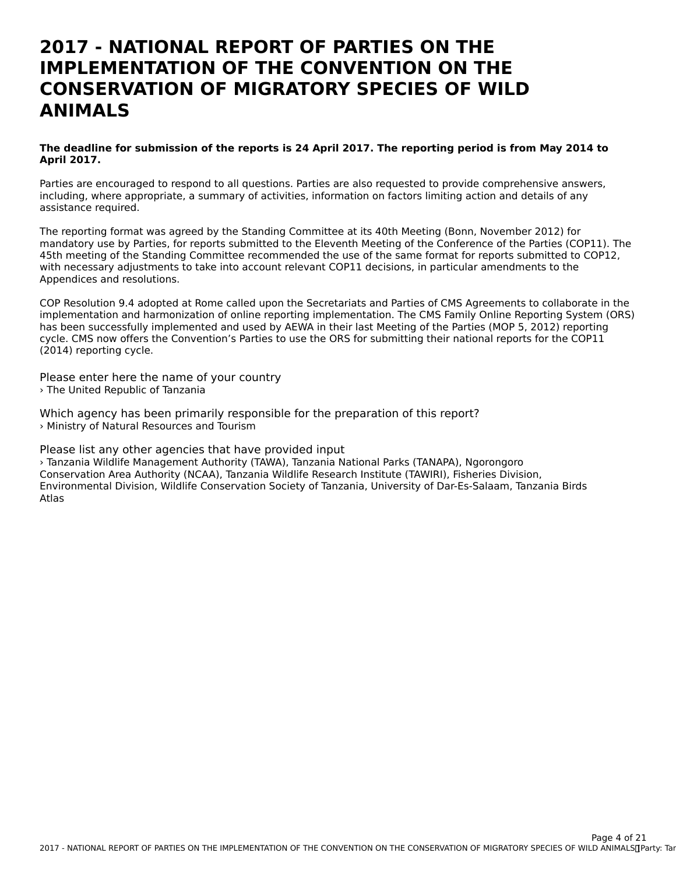### **2017 - NATIONAL REPORT OF PARTIES ON THEIMPLEMENTATION OF THE CONVENTION ON THECONSERVATION OF MIGRATORY SPECIES OF WILDANIMALS**

#### **The deadline for submission of the reports is 24 April 2017. The reporting period is from May 2014 to April 2017.**

Parties are encouraged to respond to all questions. Parties are also requested to provide comprehensive answers, including, where appropriate, a summary of activities, information on factors limiting action and details of any mcluumg, where app<br>assistance required.

The reporting format was agreed by the Standing Committee at its 40th Meeting (Bonn, November 2012) for mandatory use by Parties, for reports submitted to the Eleventh Meeting of the Conference of the Parties (COP11). The 45th meeting of the Standing Committee recommended the use of the same format for reports submitted to COP12, 45th meeting of the Standing Committee recommended the use of the same format for reports submitted to<br>With necessary adjustments to take into account relevant COP11 decisions, in particular amendments to the Appendices and resolutions.

COP Resolution 9.4 adopted at Rome called upon the Secretariats and Parties of CMS Agreements to collaborate in the implementation and harmonization of online reporting implementation. The CMS Family Online Reporting System (ORS) has been successfully implemented and used by AEWA in their last Meeting of the Parties (MOP 5, 2012) reporting cycle. CMS now offers the Convention's Parties to use the ORS for submitting their national reports for the COP11 (2014) reporting cycle.

Please enter here the name of your country › The United Republic of Tanzania

Which agency has been primarily responsible for the preparation of this report? › Ministry of Natural Resources and Tourism

Please list any other agencies that have provided input

› Tanzania Wildlife Management Authority (TAWA), Tanzania National Parks (TANAPA), Ngorongoro Conservation Area Authority (NCAA), Tanzania Wildlife Research Institute (TAWIRI), Fisheries Division, Environmental Division, Wildlife Conservation Society of Tanzania, University of Dar-Es-Salaam, Tanzania Birds Atlas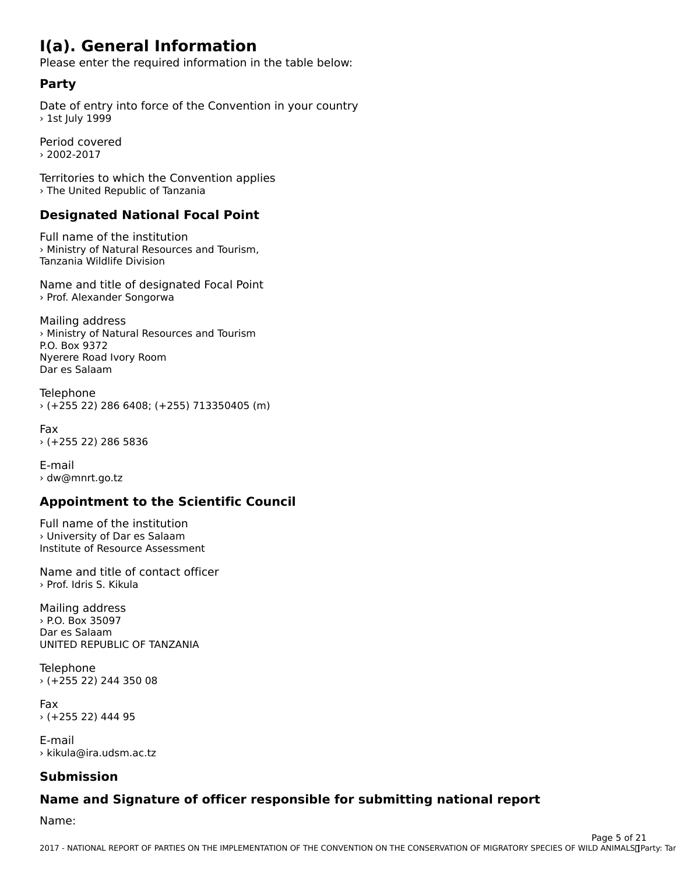## **I(a). General Information**

Please enter the required information in the table below:

## **Party**

Date of entry into force of the Convention in your country > 1st July 1999

Period covered› 2002-2017

Territories to which the Convention applies › The United Republic of Tanzania

# **Designated National Focal Point**

Full name of the institution I difficult of the institution<br>> Ministry of Natural Resources and Tourism, Tanzania Wildlife Division

Name and title of designated Focal Point › Prof. Alexander Songorwa

Mailing address **Praming dddress**<br>> Ministry of Natural Resources and Tourism P.O. Box 9372 Nyerere Road Ivory RoomDar es SalaamDar es Salaam

Telephone › (+255 22) 286 6408; (+255) 713350405 (m)

Fax› (+255 22) 286 5836

E-mail› dw@mnrt.go.tz

# **Appointment to the Scientific Council**

Full name of the institution › University of Dar es Salaam , oniversity of Dar es Salaam<br>Institute of Resource Assessment

Name and title of contact officer › Prof. Idris S. Kikula

Mailing address › P.O. Box 35097 Dar es Salaam Dar es Saladin<br>UNITED REPUBLIC OF TANZANIA

Telephone › (+255 22) 244 350 08

Fax› (+255 22) 444 95

E-mail› kikula@ira.udsm.ac.tz

#### **Submission**

# **Name and Signature of officer responsible for submitting national report**

Name: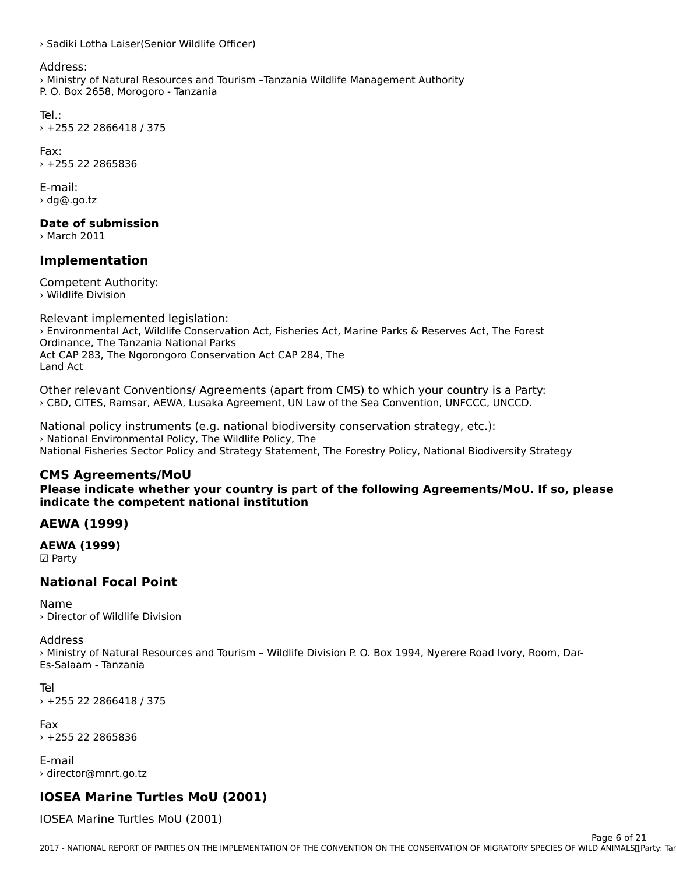› Sadiki Lotha Laiser(Senior Wildlife Officer)

#### Address:

› Ministry of Natural Resources and Tourism –Tanzania Wildlife Management Authority P. O. Box 2658, Morogoro - Tanzania

Tel.:› +255 22 2866418 / 375

Fax: › +255 22 2865836

E-mail:› dg@.go.tz

**Date of submission**

› March 2011

### **Implementation**

Competent Authority: › Wildlife Division

Relevant implemented legislation: › Environmental Act, Wildlife Conservation Act, Fisheries Act, Marine Parks & Reserves Act, The Forest **Chritomnental Act, whome Conservation**<br>Ordinance, The Tanzania National Parks Act CAP 283, The Ngorongoro Conservation Act CAP 284, The Act CAT<br>Land Act

Other relevant Conventions/ Agreements (apart from CMS) to which your country is a Party: › CBD, CITES, Ramsar, AEWA, Lusaka Agreement, UN Law of the Sea Convention, UNFCCC, UNCCD.

National policy instruments (e.g. national biodiversity conservation strategy, etc.): › National Environmental Policy, The Wildlife Policy, The National Fisheries Sector Policy and Strategy Statement, The Forestry Policy, National Biodiversity Strategy

#### **CMS Agreements/MoU**

**Please indicate whether your country is part of the following Agreements/MoU. If so, please indicate the competent national institution**indicate the competent national institution

#### **AEWA (1999)**

**AEWA (1999)** ☑ Party

#### **National Focal Point**

Name› Director of Wildlife Division

#### Address

› Ministry of Natural Resources and Tourism – Wildlife Division P. O. Box 1994, Nyerere Road Ivory, Room, Dar-Es-Salaam - Tanzania

Tel› +255 22 2866418 / 375

Fax› +255 22 2865836

E-mail › director@mnrt.go.tz

#### **IOSEA Marine Turtles MoU (2001)**

IOSEA Marine Turtles MoU (2001)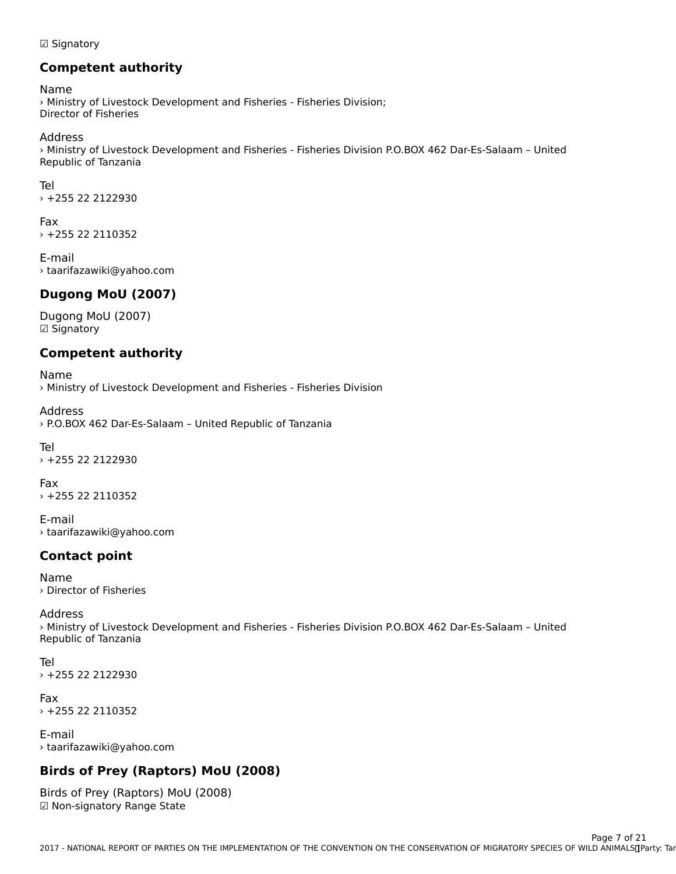#### ☑ Signatory

## **Competent authority**

Name warne<br>> Ministry of Livestock Development and Fisheries - Fisheries Division;

Address

Address<br>> Ministry of Livestock Development and Fisheries - Fisheries Division P.O.BOX 462 Dar-Es-Salaam – United Republic of Tanzania

Tel› +255 22 2122930

Fax› +255 22 2110352

E-mail› taarifazawiki@yahoo.com

#### **Dugong MoU (2007)**

Dugong MoU (2007) ☑ Signatory

## **Competent authority**

Name › Ministry of Livestock Development and Fisheries - Fisheries Division

Address› P.O.BOX 462 Dar-Es-Salaam – United Republic of Tanzania

Tel› +255 22 2122930

Fax › +255 22 2110352

E-mail› taarifazawiki@yahoo.com

### **Contact point**

Name› Director of Fisheries

#### Address

Address<br>> Ministry of Livestock Development and Fisheries - Fisheries Division P.O.BOX 462 Dar-Es-Salaam – United Republic of Tanzania

Tel› +255 22 2122930

Fax › +255 22 2110352

E-mail› taarifazawiki@yahoo.com

#### **Birds of Prey (Raptors) MoU (2008)**

Birds of Prey (Raptors) MoU (2008)Dirus Uriley (Rapturs) MU ☑ Non-signatory Range State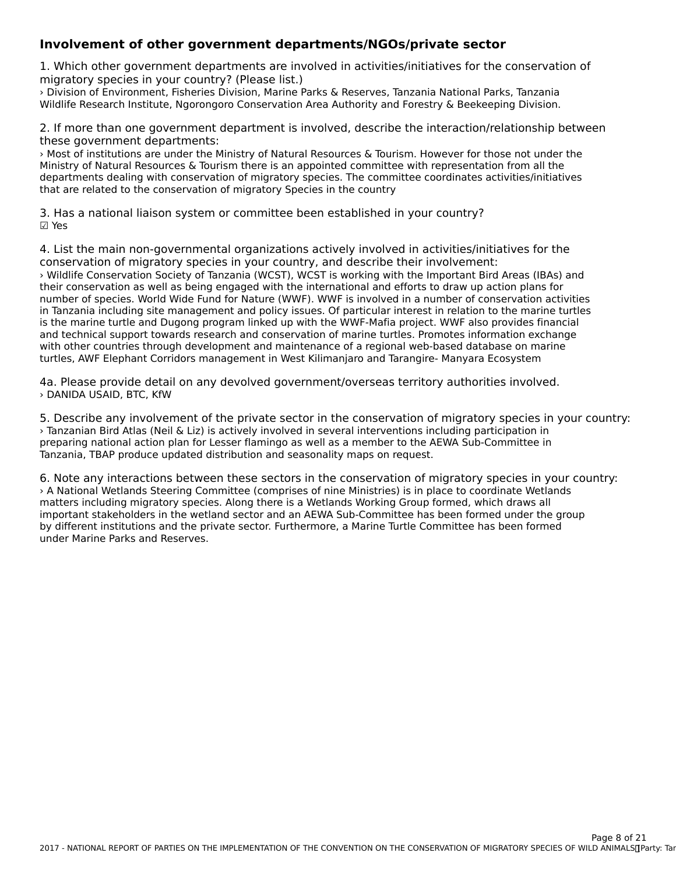#### **Involvement of other government departments/NGOs/private sector**

1. Which other government departments are involved in activities/initiatives for the conservation of 1. Which other government departments are inv<br>migratory species in your country? (Please list.)

› Division of Environment, Fisheries Division, Marine Parks & Reserves, Tanzania National Parks, TanzaniaWildlife Research Institute, Ngorongoro Conservation Area Authority and Forestry & Beekeeping Division.

2. If more than one government department is involved, describe the interaction/relationship between these government departments:

› Most of institutions are under the Ministry of Natural Resources & Tourism. However for those not under the Ministry of Natural Resources & Tourism there is an appointed committee with representation from all the departments dealing with conservation of migratory species. The committee coordinates activities/initiatives departments dealing with conservation of migratory species. The comm<br>that are related to the conservation of migratory Species in the country

3. Has a national liaison system or committee been established in your country? ☑ Yes

4. List the main non-governmental organizations actively involved in activities/initiatives for the<br>conservation of migratory species in your country, and describe their involvement: conservation of migratory species in your country, and describe their involvement: › Wildlife Conservation Society of Tanzania (WCST), WCST is working with the Important Bird Areas (IBAs) and their conservation as well as being engaged with the international and efforts to draw up action plans for number of species. World Wide Fund for Nature (WWF). WWF is involved in a number of conservation activities in Tanzania including site management and policy issues. Of particular interest in relation to the marine turtles in fanzama including site management and policy issues. Or particular interest in relation to the manne turti<br>is the marine turtle and Dugong program linked up with the WWF-Mafia project. WWF also provides financial and technical support towards research and conservation of marine turtles. Promotes information exchange and technical and technical support towards research and conservation or manne turties. Fromotes information exchange<br>with other countries through development and maintenance of a regional web-based database on marine with other countries through development and maintenance or a regional web-based database on ma<br>turtles, AWF Elephant Corridors management in West Kilimanjaro and Tarangire- Manyara Ecosystem

4a. Please provide detail on any devolved government/overseas territory authorities involved. › DANIDA USAID, BTC, KfW

5. Describe any involvement of the private sector in the conservation of migratory species in your country: › Tanzanian Bird Atlas (Neil & Liz) is actively involved in several interventions including participation in preparing national action plan for Lesser flamingo as well as a member to the AEWA Sub-Committee in preparing national action plan for Lesser hamingo as well as a member to the A<br>Tanzania, TBAP produce updated distribution and seasonality maps on request.

6. Note any interactions between these sectors in the conservation of migratory species in your country: › A National Wetlands Steering Committee (comprises of nine Ministries) is in place to coordinate Wetlands matters including migratory species. Along there is a Wetlands Working Group formed, which draws all important stakeholders in the wetland sector and an AEWA Sub-Committee has been formed under the group Important stakeholders in the webland sector and an ALWA 3db-Committee has been formed under the g<br>by different institutions and the private sector. Furthermore, a Marine Turtle Committee has been formed under Marine Parks and Reserves.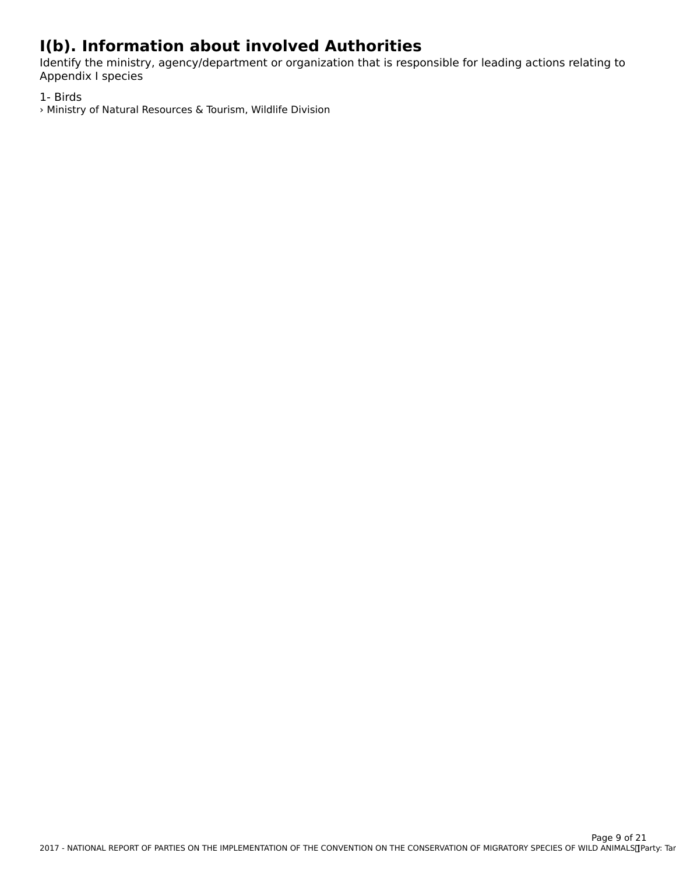# **I(b). Information about involved Authorities**

Identify the ministry, agency/department or organization that is responsible for leading actions relating to nderitiry the ministr<br>Appendix I species

1- Birds

› Ministry of Natural Resources & Tourism, Wildlife Division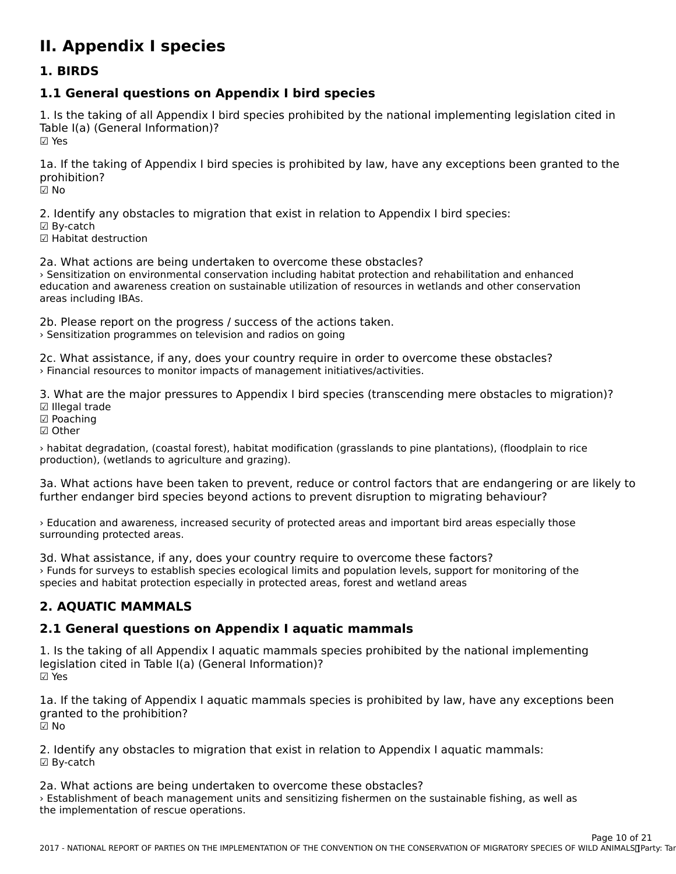# **II. Appendix I species**

#### **1. BIRDS**

# **1.1 General questions on Appendix I bird species**

1. Is the taking of all Appendix I bird species prohibited by the national implementing legislation cited in Table I(a) (General Information)? ☑ Yes

1a. If the taking of Appendix I bird species is prohibited by law, have any exceptions been granted to the prohibition?prohibition?

☑ No

2. Identify any obstacles to migration that exist in relation to Appendix I bird species:

- ☑ By-catch
- ☑ Habitat destruction

2a. What actions are being undertaken to overcome these obstacles? › Sensitization on environmental conservation including habitat protection and rehabilitation and enhanced Formatization on environmental conservation including habitat protection and renabilitation and emianced<br>education and awareness creation on sustainable utilization of resources in wetlands and other conservation areas including IBAs.

2b. Please report on the progress / success of the actions taken.

> Sensitization programmes on television and radios on going

2c. What assistance, if any, does your country require in order to overcome these obstacles? › Financial resources to monitor impacts of management initiatives/activities.

3. What are the major pressures to Appendix I bird species (transcending mere obstacles to migration)?

- ☑ Illegal trade ⊠ meyar ua<br>☑ Poaching
- ☑ Other
- 

› habitat degradation, (coastal forest), habitat modification (grasslands to pine plantations), (floodplain to rice production), (wetlands to agriculture and grazing).

3a. What actions have been taken to prevent, reduce or control factors that are endangering or are likely to further endanger bird species beyond actions to prevent disruption to migrating behaviour?

› Education and awareness, increased security of protected areas and important bird areas especially those surrounding protected areas.<br>surrounding protected areas.

3d. What assistance, if any, does your country require to overcome these factors? › Funds for surveys to establish species ecological limits and population levels, support for monitoring of the species and habitat protection especially in protected areas, forest and wetland areas

#### **2. AQUATIC MAMMALS**

## **2.1 General questions on Appendix I aquatic mammals**

1. Is the taking of all Appendix I aquatic mammals species prohibited by the national implementing legislation cited in Table I(a) (General Information)? ☑ Yes

1a. If the taking of Appendix I aquatic mammals species is prohibited by law, have any exceptions been granted to the prohibition?granted to the prohibition?<br>☑ No

2. Identify any obstacles to migration that exist in relation to Appendix I aquatic mammals: ☑ By-catch

2a. What actions are being undertaken to overcome these obstacles? › Establishment of beach management units and sensitizing fishermen on the sustainable fishing, as well as , Establishment of beach management of<br>the implementation of rescue operations.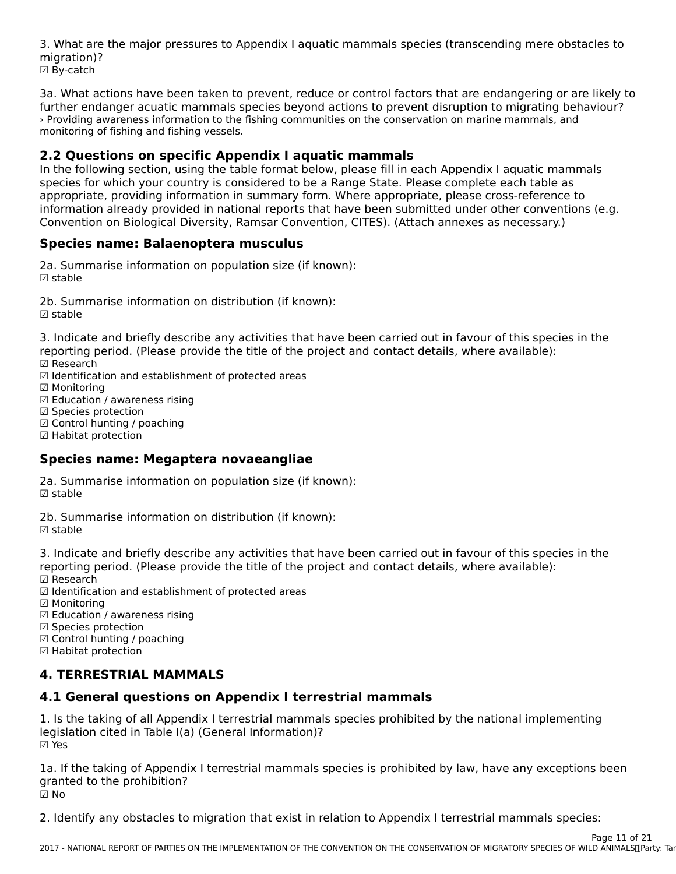3. What are the major pressures to Appendix I aquatic mammals species (transcending mere obstacles to migration)? ☑ By-catch

3a. What actions have been taken to prevent, reduce or control factors that are endangering or are likely to further endanger acuatic mammals species beyond actions to prevent disruption to migrating behaviour?further endanger acuatic mammals species beyond actions to prevent disruption to migrating behaviour? › Providing awareness information to the fishing communities on the conservation on marine mammals, and *r* rioviding awareness imormation to the<br>monitoring of fishing and fishing vessels.

### **2.2 Questions on specific Appendix I aquatic mammals**

2.2 Questions on spectific Appendix I aquatic mammars<br>In the following section, using the table format below, please fill in each Appendix I aquatic mammals In the following section, using the table format below, please in in each Appendix Faquatic manning<br>species for which your country is considered to be a Range State. Please complete each table as appropriate, providing information in summary form. Where appropriate, please cross-reference to appropriate, providing information in summary form. Where appropriate, please cross-reference to<br>information already provided in national reports that have been submitted under other conventions (e.g. Convention on Biological Diversity, Ramsar Convention, CITES). (Attach annexes as necessary.)

# **Species name: Balaenoptera musculus**

2a. Summarise information on population size (if known): zu. Jun<br>☑ stable

2b. Summarise information on distribution (if known): ☑ stable

3. Indicate and briefly describe any activities that have been carried out in favour of this species in the reporting period. (Please provide the title of the project and contact details, where available): ☑ Research

☑ Identification and establishment of protected areas

☑ Monitoring

☑ Education / awareness rising

☑ Species protection

☑ Control hunting / poaching ☑ Habitat protection

☑ Habitat protection

### **Species name: Megaptera novaeangliae**

2a. Summarise information on population size (if known): ☑ stable

2b. Summarise information on distribution (if known): ☑ stable

3. Indicate and briefly describe any activities that have been carried out in favour of this species in the 3. muicate and brieny describe any activities that have been carried out in favour or this spectrum.<br>reporting period. (Please provide the title of the project and contact details, where available): ☑ Research

☑ Identification and establishment of protected areas

☑ Monitoring

☑ Education / awareness rising ☑ Species protection

☑ Control hunting / poaching

⊠ Contromanting / µ<br>☑ Habitat protection

#### **4. TERRESTRIAL MAMMALS**

## **4.1 General questions on Appendix I terrestrial mammals**

1. Is the taking of all Appendix I terrestrial mammals species prohibited by the national implementing 1. is the taking of all Appendix Fterresthal Information)?<br>legislation cited in Table I(a) (General Information)? ☑ Yes

1a. If the taking of Appendix I terrestrial mammals species is prohibited by law, have any exceptions been Ia. If the taking of Appendi<br>granted to the prohibition? ☑ No

2. Identify any obstacles to migration that exist in relation to Appendix I terrestrial mammals species: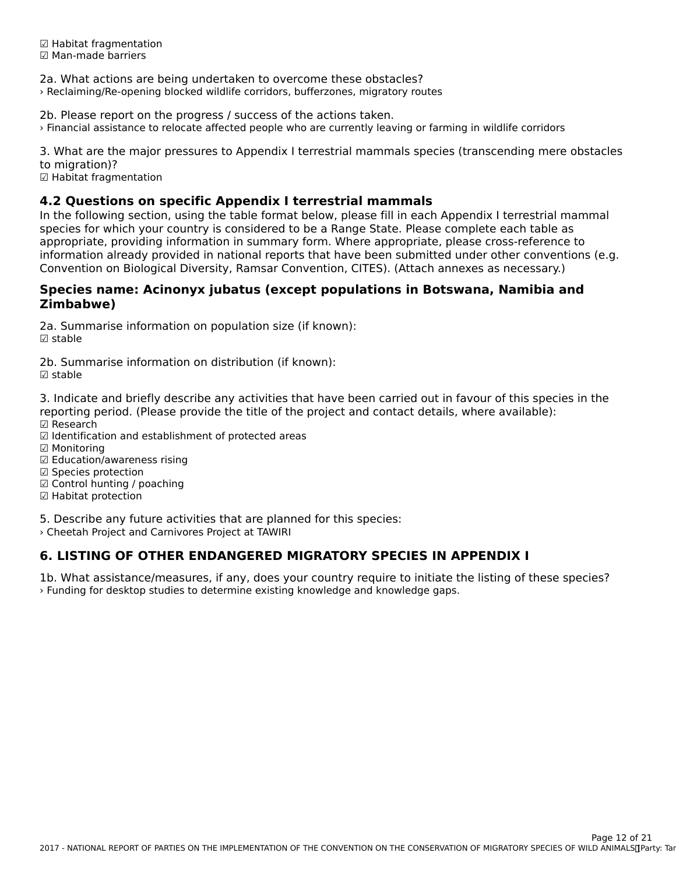☑ Habitat fragmentation ☑ Man-made barriers

2a. What actions are being undertaken to overcome these obstacles?

› Reclaiming/Re-opening blocked wildlife corridors, bufferzones, migratory routes

2b. Please report on the progress / success of the actions taken.

› Financial assistance to relocate affected people who are currently leaving or farming in wildlife corridors

3. What are the major pressures to Appendix I terrestrial mammals species (transcending mere obstacles to migration)?

co imgration):<br>☑ Habitat fragmentation

### **4.2 Questions on specific Appendix I terrestrial mammals**

I.L Questions on spectific Appendix I terrestrial mammars<br>In the following section, using the table format below, please fill in each Appendix I terrestrial mammal in the following section, using the table format below, please in in each Appendix i terrestrial ma<br>species for which your country is considered to be a Range State. Please complete each table as species for which your country is considered to be a Kange State. Frease complete each table as<br>appropriate, providing information in summary form. Where appropriate, please cross-reference to appropriate, providing information in summary form. Where appropriate, please cross-reference to<br>information already provided in national reports that have been submitted under other conventions (e.g. Convention on Biological Diversity, Ramsar Convention, CITES). (Attach annexes as necessary.)

#### **Species name: Acinonyx jubatus (except populations in Botswana, Namibia and Zimbabwe)**Zimbabwe)

2a. Summarise information on population size (if known): zu. ∋un<br>☑ stable

2b. Summarise information on distribution (if known):☑ stable

3. Indicate and briefly describe any activities that have been carried out in favour of this species in the reporting period. (Please provide the title of the project and contact details, where available):

- ☑ Research
- ☑ Identification and establishment of protected areas
- ☑ Monitoring
- ☑ Education/awareness rising
- ☑ Species protection
- ☑ Control hunting / poaching
- ☑ Contromanting / µ<br>☑ Habitat protection

5. Describe any future activities that are planned for this species:

› Cheetah Project and Carnivores Project at TAWIRI

## **6. LISTING OF OTHER ENDANGERED MIGRATORY SPECIES IN APPENDIX I**

1b. What assistance/measures, if any, does your country require to initiate the listing of these species? › Funding for desktop studies to determine existing knowledge and knowledge gaps.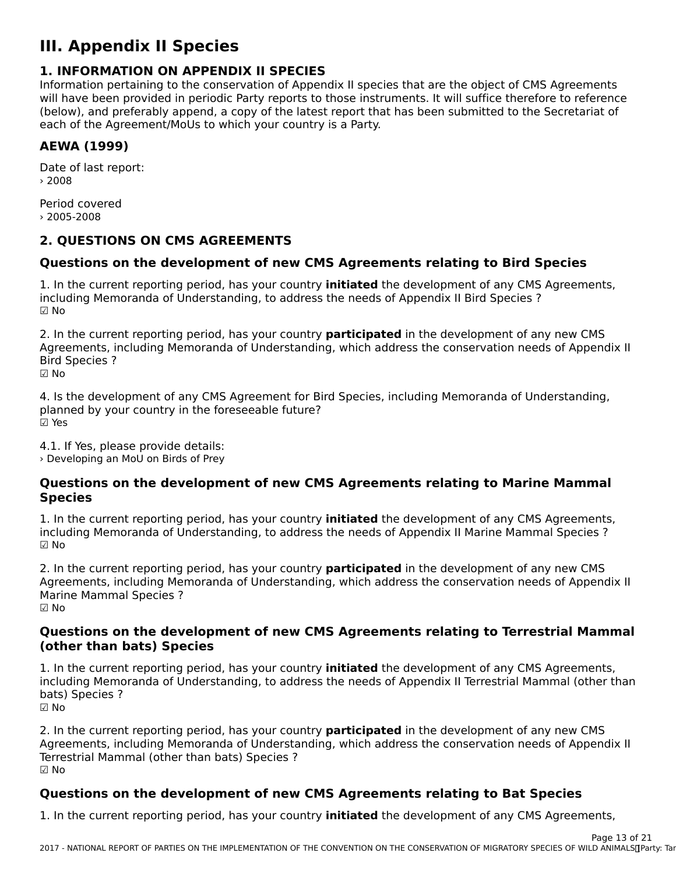# **III. Appendix II Species**

### **1. INFORMATION ON APPENDIX II SPECIES**

**I. INTORMATION ON AFFENDIX II SFECIES**<br>Information pertaining to the conservation of Appendix II species that are the object of CMS Agreements will have been provided in periodic Party reports to those instruments. It will suffice therefore to reference will have been provided in periodic rarty reports to those instruments. It will suffice therefore to reference<br>(below), and preferably append, a copy of the latest report that has been submitted to the Secretariat of each of the Agreement/MoUs to which your country is a Party.

# **AEWA (1999)**

Date of last report: › 2008

Period covered› 2005-2008

## **2. QUESTIONS ON CMS AGREEMENTS**

## **Questions on the development of new CMS Agreements relating to Bird Species**

1. In the current reporting period, has your country **initiated** the development of any CMS Agreements, I. In the current reporting period, has your country **initiated** the development or any civis<br>including Memoranda of Understanding, to address the needs of Appendix II Bird Species ? ☑ No

2. In the current reporting period, has your country **participated** in the development of any new CMS<br>Agreements, including Memoranda of Understanding, which address the conservation needs of Appendix II Algoed including memoranda or onderstanding, which address the conservation needs or Appendix in<br>Pixel Case issue **Bird Species ?** 

☑ No

4. Is the development of any CMS Agreement for Bird Species, including Memoranda of Understanding, planned by your country in the foreseeable future? ☑ Yes

4.1. If Yes, please provide details: › Developing an MoU on Birds of Prey

#### **Questions on the development of new CMS Agreements relating to Marine Mammal Species**

1. In the current reporting period, has your country **initiated** the development of any CMS Agreements, I. In the current reporting period, has your country **initiated** the development or any civis Agreements<br>including Memoranda of Understanding, to address the needs of Appendix II Marine Mammal Species ? ☑ No

2. In the current reporting period, has your country **participated** in the development of any new CMS<br>Agreements, including Memoranda of Understanding, which address the conservation needs of Appendix II Algebrish, including Memoranda or Understanding, Which address the Conservation needs or Appendix in<br>Marine Marinel G **Marine Mammal Species ?** ☑ No

# **Questions on the development of new CMS Agreements relating to Terrestrial Mammal (other than bats) Species**

1. In the current reporting period, has your country **initiated** the development of any CMS Agreements,<br>including Memoranda of Understanding, to address the needs of Appendix U.Terrestrial Mammal (other than including Memoranda of Understanding, to address the needs of Appendix II Terrestrial Mammal (other than bats) Species ?☑ No

2. In the current reporting period, has your country **participated** in the development of any new CMS<br>Agreements, including Memoranda of Understanding, which address the conservation needs of Appendix II Agreements, including membranda of onderstanding, which address the conservation needs of Appendix in<br>Terrestrial Mammal (other than bat) Terrestrial Mammal (other than bats) Species ? ☑ No

### **Questions on the development of new CMS Agreements relating to Bat Species**

1. In the current reporting period, has your country **initiated** the development of any CMS Agreements,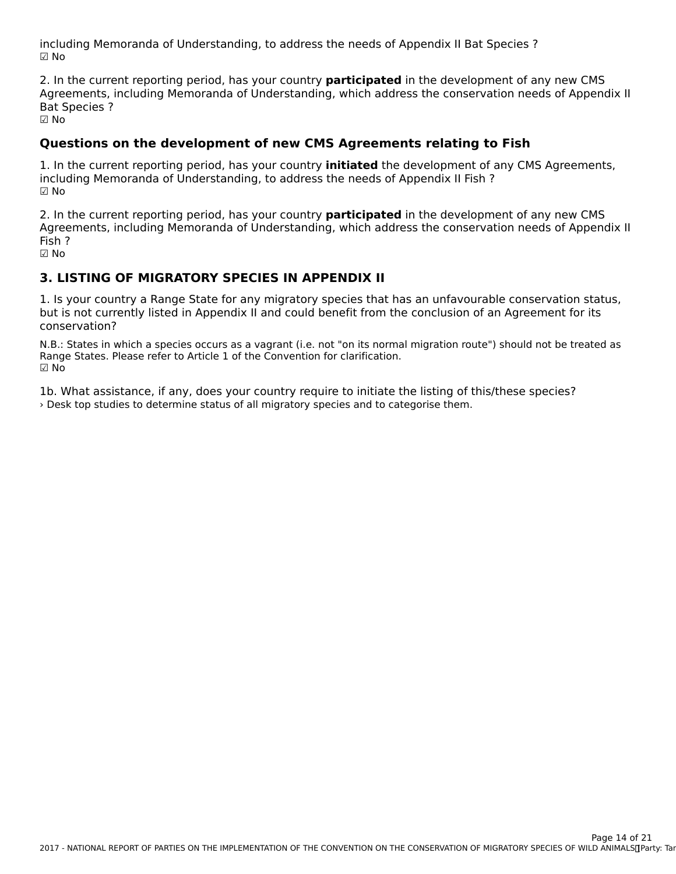including Memoranda of Understanding, to address the needs of Appendix II Bat Species ? ☑ No

2. In the current reporting period, has your country **participated** in the development of any new CMS 2. In the current reporting period, has your country **participated** in the development or any new civis<br>Agreements, including Memoranda of Understanding, which address the conservation needs of Appendix II **Bat Species ?** ບaເ<br>☑ No

**Questions on the development of new CMS Agreements relating to Fish**

1. In the current reporting period, has your country **initiated** the development of any CMS Agreements, including Memoranda of Understanding, to address the needs of Appendix II Fish ?☑ No

2. In the current reporting period, has your country **participated** in the development of any new CMS Agreements, including Memoranda of Understanding, which address the conservation needs of Appendix II Fish ?

☑ No

#### **3. LISTING OF MIGRATORY SPECIES IN APPENDIX II**

1. Is your country a Range State for any migratory species that has an unfavourable conservation status, but is not currently listed in Appendix II and could benefit from the conclusion of an Agreement for its conservation?conservation?

N.B.: States in which a species occurs as a vagrant (i.e. not "on its normal migration route") should not be treated as N.D.. States in Which a species occurs as a vagrant (i.e. not for its norma<br>Range States. Please refer to Article 1 of the Convention for clarification. ☑ No

1b. What assistance, if any, does your country require to initiate the listing of this/these species? › Desk top studies to determine status of all migratory species and to categorise them.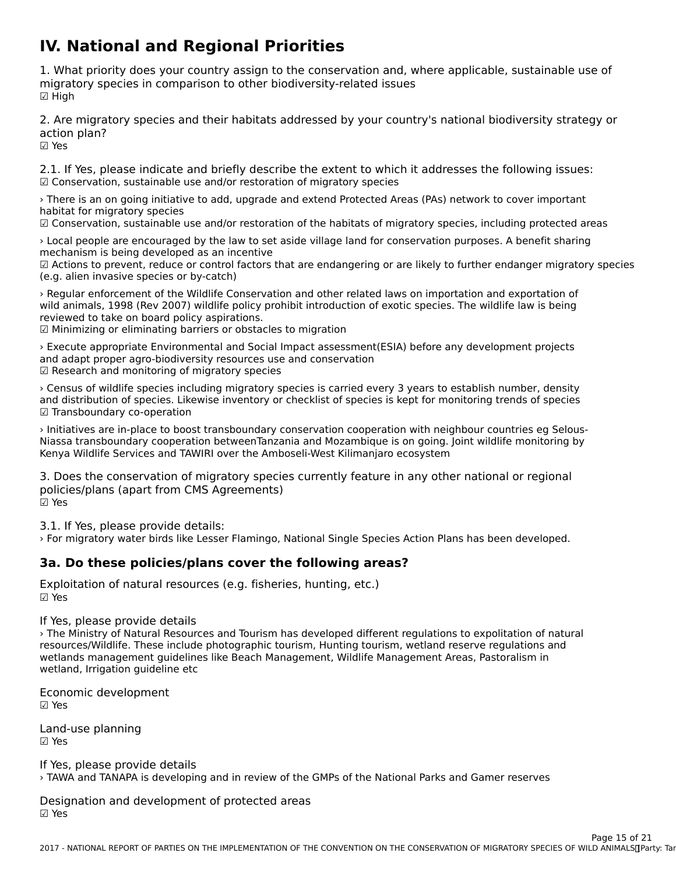# **IV. National and Regional Priorities**

1. What priority does your country assign to the conservation and, where applicable, sustainable use of migratory species in comparison to other biodiversity-related issues ☑ High

2. Are migratory species and their habitats addressed by your country's national biodiversity strategy or action plan? ☑ Yes

2.1. If Yes, please indicate and briefly describe the extent to which it addresses the following issues: ☑ Conservation, sustainable use and/or restoration of migratory species

› There is an on going initiative to add, upgrade and extend Protected Areas (PAs) network to cover important habitat for migratory specieshabitat for migratory species

☑ Conservation, sustainable use and/or restoration of the habitats of migratory species, including protected areas

> Local people are encouraged by the law to set aside village land for conservation purposes. A benefit sharing mechanism is being developed as an incentive

rnechanism is being developed as an incentive<br>☑ Actions to prevent, reduce or control factors that are endangering or are likely to further endanger migratory species (e.g. alien invasive species or by-catch)

› Regular enforcement of the Wildlife Conservation and other related laws on importation and exportation of wild animals, 1998 (Rev 2007) wildlife policy prohibit introduction of exotic species. The wildlife law is being reviewed to take on board policy aspirations.

reviewed to take on board policy aspirations.<br>☑ Minimizing or eliminating barriers or obstacles to migration

> Execute appropriate Environmental and Social Impact assessment(ESIA) before any development projects and adapt proper agro-biodiversity resources use and conservation. ☑ Research and monitoring of migratory species

› Census of wildlife species including migratory species is carried every 3 years to establish number, density and distribution of species. Likewise inventory or checklist of species is kept for monitoring trends of species and distribution or species. Eise<br>☑ Transboundary co-operation

› Initiatives are in-place to boost transboundary conservation cooperation with neighbour countries eg Selous- $\gamma$  middle transportation between  $\gamma$  constructed in the model of  $\gamma$  and  $\gamma$  and  $\gamma$  and  $\gamma$  and  $\gamma$  and  $\gamma$  and  $\gamma$  and  $\gamma$  and  $\gamma$  and  $\gamma$  and  $\gamma$  and  $\gamma$  and  $\gamma$  and  $\gamma$  and  $\gamma$  and  $\gamma$  and  $\gamma$  and Nessa Udilsboundary cooperation between anzama and Mozambique is on going, joint whome momenting by Kenya Wildlife Services and TAWIRI over the Amboseli-West Kilimanjaro ecosystem

3. Does the conservation of migratory species currently feature in any other national or regional policies/plans (apart from CMS Agreements) ☑ Yes

3.1. If Yes, please provide details:

› For migratory water birds like Lesser Flamingo, National Single Species Action Plans has been developed.

#### **3a. Do these policies/plans cover the following areas?**

Exploitation of natural resources (e.g. fisheries, hunting, etc.) ☑ Yes

If Yes, please provide details

› The Ministry of Natural Resources and Tourism has developed different regulations to expolitation of natural resources/Wildlife. These include photographic tourism, Hunting tourism, wetland reserve regulations and wetlands management guidelines like Beach Management, Wildlife Management Areas, Pastoralism in wetlands management guidelint<br>wetland, Irrigation guideline etc

Economic development ☑ Yes

Land-use planning ☑ Yes

If Yes, please provide details › TAWA and TANAPA is developing and in review of the GMPs of the National Parks and Gamer reserves

Designation and development of protected areas ☑ Yes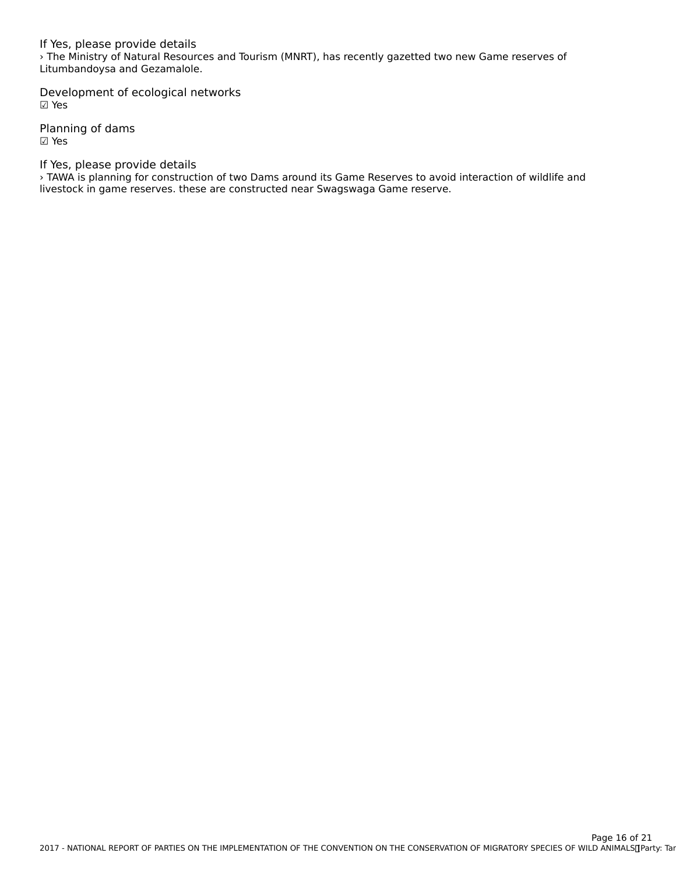If Yes, please provide details › The Ministry of Natural Resources and Tourism (MNRT), has recently gazetted two new Game reserves of *The Ministry of Natural Resource*<br>Litumbandoysa and Gezamalole.

Development of ecological networks ☑ Yes

Planning of dams ☑ Yes

If Yes, please provide details

It is the planning for construction of two Dams around its Game Reserves to avoid interaction of wildlife and<br>> TAWA is planning for construction of two Dams around its Game Reserves to avoid interaction of wildlife and livestock in game reserves. these are constructed near Swagswaga Game reserve.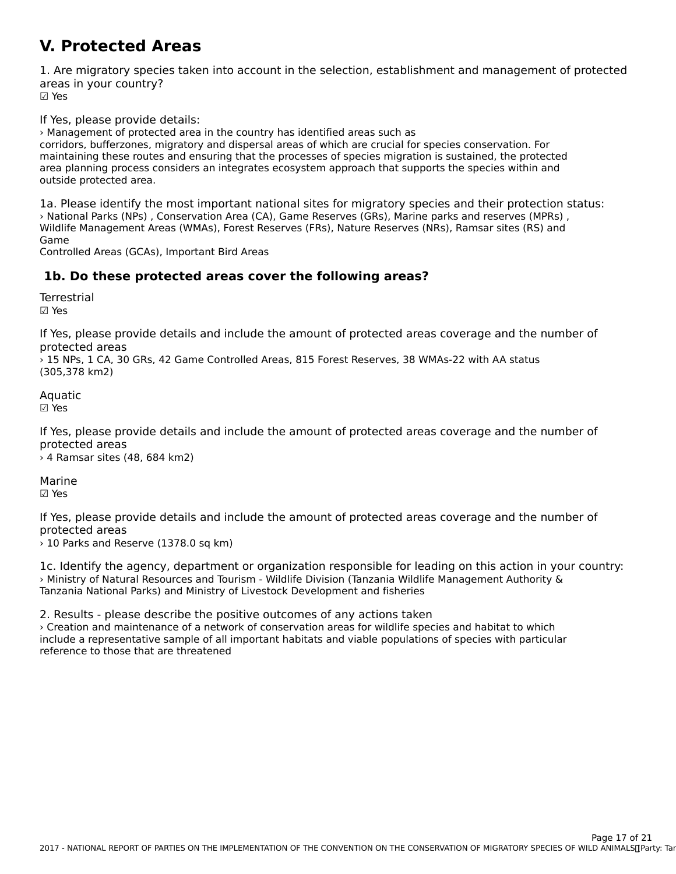#### **V. Protected Areas**

1. Are migratory species taken into account in the selection, establishment and management of protected areas in your country? ur∈u∍<br>☑ Yes

If Yes, please provide details:

› Management of protected area in the country has identified areas such as

corridors, bufferzones, migratory and dispersal areas of which are crucial for species conservation. For comdots, butter zones, migratory and dispersal areas of which are crucial for species conservation. For<br>maintaining these routes and ensuring that the processes of species migration is sustained, the protected area planning process considers an integrates ecosystem approach that supports the species within and area planning process c<br>outside protected area.

1a. Please identify the most important national sites for migratory species and their protection status: › National Parks (NPs) , Conservation Area (CA), Game Reserves (GRs), Marine parks and reserves (MPRs) , wational Parks (NPS) , Conservation Area (CA), Game Reserves (GRS), Manne parks and reserves (MPRS)<br>Wildlife Management Areas (WMAs), Forest Reserves (FRs), Nature Reserves (NRs), Ramsar sites (RS) and

Controlled Areas (GCAs), Important Bird Areas

## **1b. Do these protected areas cover the following areas?**

**Terrestrial** 

☑ Yes

If Yes, please provide details and include the amount of protected areas coverage and the number of protected areas

› 15 NPs, 1 CA, 30 GRs, 42 Game Controlled Areas, 815 Forest Reserves, 38 WMAs-22 with AA status (305,378 km2)

Aquatic ☑ Yes

If Yes, please provide details and include the amount of protected areas coverage and the number of protected areas

› 4 Ramsar sites (48, 684 km2)

Marine ☑ Yes

If Yes, please provide details and include the amount of protected areas coverage and the number of protected areas

 $\rightarrow$  10 Parks and Reserve (1378.0 sq km)

1c. Identify the agency, department or organization responsible for leading on this action in your country: › Ministry of Natural Resources and Tourism - Wildlife Division (Tanzania Wildlife Management Authority & Tanzania National Parks) and Ministry of Livestock Development and fisheries

2. Results - please describe the positive outcomes of any actions taken › Creation and maintenance of a network of conservation areas for wildlife species and habitat to whichinclude a representative sample of all important habitats and viable populations of species with particular reference to those that are threatened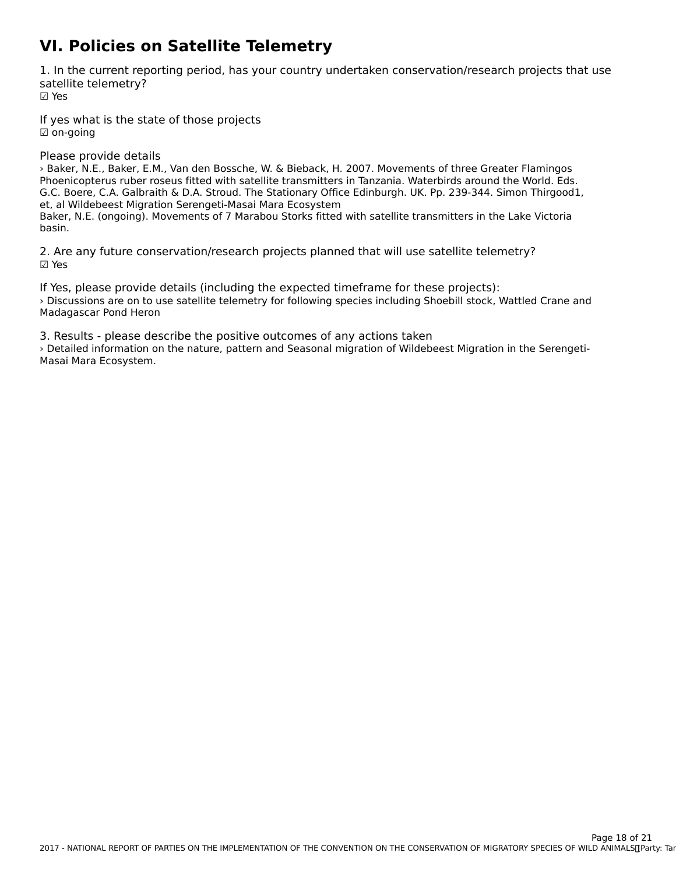# **VI. Policies on Satellite Telemetry**

1. In the current reporting period, has your country undertaken conservation/research projects that use satellite telemetry? ☑ Yes

If yes what is the state of those projects ☑ on-going

Please provide details

› Baker, N.E., Baker, E.M., Van den Bossche, W. & Bieback, H. 2007. Movements of three Greater Flamingos Phoenicopterus ruber roseus fitted with satellite transmitters in Tanzania. Waterbirds around the World. Eds. G.C. Boere, C.A. Galbraith & D.A. Stroud. The Stationary Office Edinburgh. UK. Pp. 239-344. Simon Thirgood1, d.C. Boere, C.A. Gaibrann & D.A. Stroud. The Stationary Onit<br>et, al Wildebeest Migration Serengeti-Masai Mara Ecosystem et, ar whoebeest migration serenged-masar mara Ecosystem<br>Baker, N.E. (ongoing). Movements of 7 Marabou Storks fitted with satellite transmitters in the Lake Victoria

basin.

2. Are any future conservation/research projects planned that will use satellite telemetry? ☑ Yes

If Yes, please provide details (including the expected timeframe for these projects): › Discussions are on to use satellite telemetry for following species including Shoebill stock, Wattled Crane and Madagascar Pond Heron

3. Results - please describe the positive outcomes of any actions taken › Detailed information on the nature, pattern and Seasonal migration of Wildebeest Migration in the Serengeti-*,* Detailed Imormation o<br>Masai Mara Ecosystem.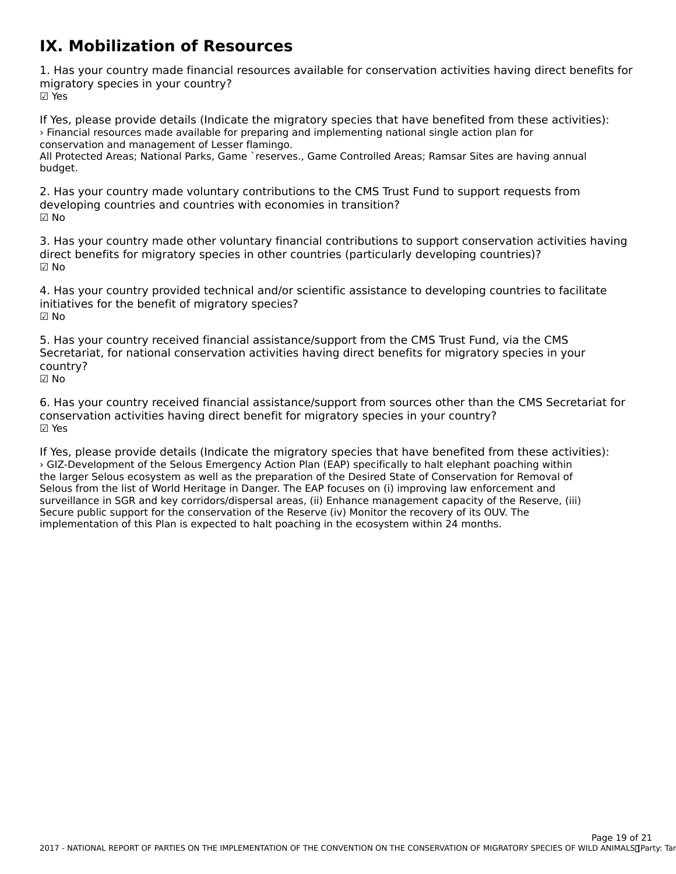#### **IX. Mobilization of Resources**

1. Has your country made financial resources available for conservation activities having direct benefits for migratory species in your country? ☑ Yes

If Yes, please provide details (Indicate the migratory species that have benefited from these activities): › Financial resources made available for preparing and implementing national single action plan for conservation and management of Lesser flamingo.

All Protected Areas; National Parks, Game `reserves., Game Controlled Areas; Ramsar Sites are having annual All Frote<br>budget.

2. Has your country made voluntary contributions to the CMS Trust Fund to support requests from developing countries and countries with economies in transition?☑ No

3. Has your country made other voluntary financial contributions to support conservation activities having direct benefits for migratory species in other countries (particularly developing countries)? ☑ No

4. Has your country provided technical and/or scientific assistance to developing countries to facilitate 4. Has your country provided technical and/or s<br>initiatives for the benefit of migratory species? ☑ No

5. Has your country received financial assistance/support from the CMS Trust Fund, via the CMS Secretariat, for national conservation activities having direct benefits for migratory species in your country?☑ No

6. Has your country received financial assistance/support from sources other than the CMS Secretariat for of rias your country received imancial assistance/support from sources other than<br>conservation activities having direct benefit for migratory species in your country? ☑ Yes

If Yes, please provide details (Indicate the migratory species that have benefited from these activities): In tes, piedse provide details (indicate the ringratory species that have benefited from these action<br>> GIZ-Development of the Selous Emergency Action Plan (EAP) specifically to halt elephant poaching within the larger Selous ecosystem as well as the preparation of the Desired State of Conservation for Removal of Selous from the list of World Heritage in Danger. The EAP focuses on (i) improving law enforcement and surveillance in SGR and key corridors/dispersal areas, (ii) Enhance management capacity of the Reserve, (iii) survemance in 33K and key cornuors/uispersarareas, (ii) Limance management capacity or the Re<br>Secure public support for the conservation of the Reserve (iv) Monitor the recovery of its OUV. The implementation of this Plan is expected to halt poaching in the ecosystem within 24 months.